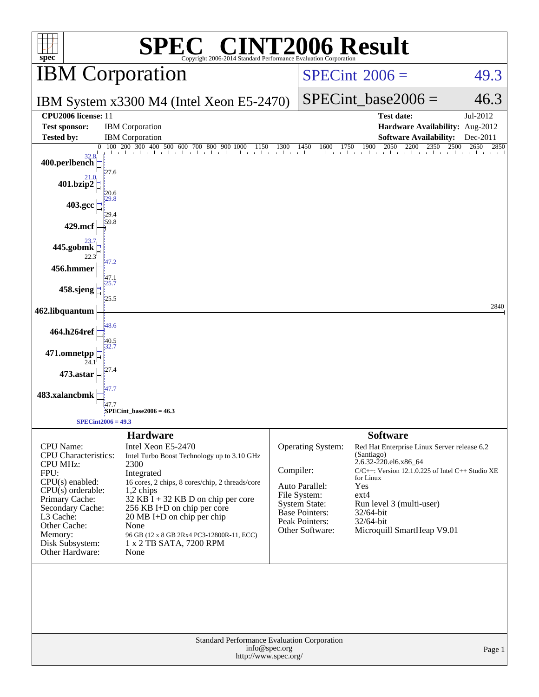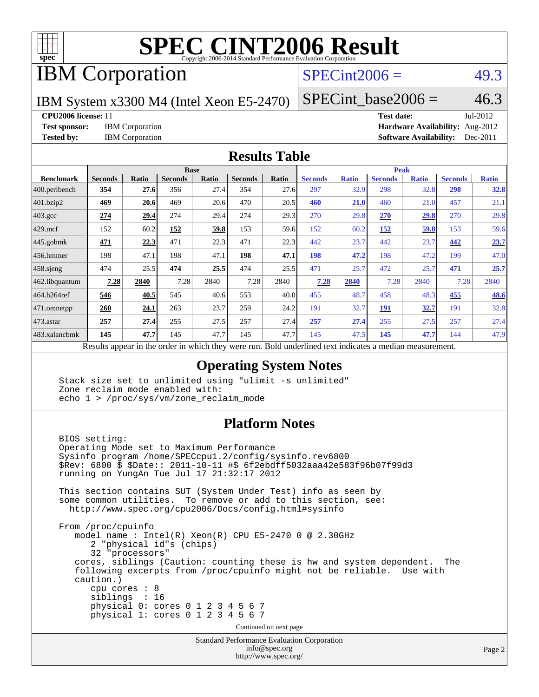

# **[SPEC CINT2006 Result](http://www.spec.org/auto/cpu2006/Docs/result-fields.html#SPECCINT2006Result)**

# IBM Corporation

## $SPECint2006 = 49.3$  $SPECint2006 = 49.3$

IBM System x3300 M4 (Intel Xeon E5-2470)

 $SPECTnt\_base2006 = 46.3$ 

**[CPU2006 license:](http://www.spec.org/auto/cpu2006/Docs/result-fields.html#CPU2006license)** 11 **[Test date:](http://www.spec.org/auto/cpu2006/Docs/result-fields.html#Testdate)** Jul-2012 **[Test sponsor:](http://www.spec.org/auto/cpu2006/Docs/result-fields.html#Testsponsor)** IBM Corporation **[Hardware Availability:](http://www.spec.org/auto/cpu2006/Docs/result-fields.html#HardwareAvailability)** Aug-2012 **[Tested by:](http://www.spec.org/auto/cpu2006/Docs/result-fields.html#Testedby)** IBM Corporation **[Software Availability:](http://www.spec.org/auto/cpu2006/Docs/result-fields.html#SoftwareAvailability)** Dec-2011

### **[Results Table](http://www.spec.org/auto/cpu2006/Docs/result-fields.html#ResultsTable)**

| <b>Base</b>    |                           |                |              |                |              | <b>Peak</b>                |              |                                             |              |                |              |
|----------------|---------------------------|----------------|--------------|----------------|--------------|----------------------------|--------------|---------------------------------------------|--------------|----------------|--------------|
| <b>Seconds</b> | Ratio                     | <b>Seconds</b> | <b>Ratio</b> | <b>Seconds</b> | <b>Ratio</b> | <b>Seconds</b>             | <b>Ratio</b> | <b>Seconds</b>                              | <b>Ratio</b> | <b>Seconds</b> | <b>Ratio</b> |
| 354            | 27.6                      | 356            | 27.4         | 354            | 27.6         | 297                        | 32.9         | 298                                         | 32.8         | 298            | 32.8         |
| 469            | 20.6                      | 469            | 20.6         | 470            | 20.5         | 460                        | 21.0         | 460                                         | 21.0         | 457            | 21.1         |
| 274            | 29.4                      | 274            | 29.4         | 274            | 29.3         | 270                        | 29.8         | 270                                         | 29.8         | 270            | 29.8         |
| 152            | 60.2                      | <u>152</u>     | 59.8         | 153            | 59.6         | 152                        | 60.2         | <u>152</u>                                  | <u>59.8</u>  | 153            | 59.6         |
| 471            | 22.3                      | 471            | 22.3         | 471            | 22.3         | 442                        | 23.7         | 442                                         | 23.7         | 442            | 23.7         |
| 198            | 47.1                      | 198            | 47.1         | 198            | 47.1         | 198                        | 47.2         | 198                                         | 47.2         | 199            | 47.0         |
| 474            | 25.5                      | 474            | 25.5         | 474            | 25.5         | 471                        | 25.7         | 472                                         | 25.7         | 471            | 25.7         |
| 7.28           | 2840                      | 7.28           | 2840         | 7.28           | 2840         | 7.28                       | 2840         | 7.28                                        | 2840         | 7.28           | 2840         |
| 546            | 40.5                      | 545            | 40.6         | 553            | 40.0         | 455                        | 48.7         | 458                                         | 48.3         | 455            | 48.6         |
| 260            | 24.1                      | 263            | 23.7         | 259            | 24.2         | 191                        | 32.7         | 191                                         | <u>32.7</u>  | 191            | 32.8         |
| 257            | 27.4                      | 255            | 27.5         | 257            | 27.4         | 257                        | 27.4         | 255                                         | 27.5         | 257            | 27.4         |
| 145            | 47.7                      | 145            | 47.7         | 145            | 47.7         | 145                        | 47.5         | 145                                         | 47.7         | 144            | 47.9         |
|                | $\mathbf{D}$ $\mathbf{L}$ |                |              |                |              | 1.3.1.41<br>$\overline{1}$ |              | $D$ and $L$ and $L$ and $L$ and $L$ and $L$ |              |                |              |

Results appear in the [order in which they were run.](http://www.spec.org/auto/cpu2006/Docs/result-fields.html#RunOrder) Bold underlined text [indicates a median measurement.](http://www.spec.org/auto/cpu2006/Docs/result-fields.html#Median)

### **[Operating System Notes](http://www.spec.org/auto/cpu2006/Docs/result-fields.html#OperatingSystemNotes)**

 Stack size set to unlimited using "ulimit -s unlimited" Zone reclaim mode enabled with: echo 1 > /proc/sys/vm/zone\_reclaim\_mode

### **[Platform Notes](http://www.spec.org/auto/cpu2006/Docs/result-fields.html#PlatformNotes)**

 BIOS setting: Operating Mode set to Maximum Performance Sysinfo program /home/SPECcpu1.2/config/sysinfo.rev6800 \$Rev: 6800 \$ \$Date:: 2011-10-11 #\$ 6f2ebdff5032aaa42e583f96b07f99d3 running on YungAn Tue Jul 17 21:32:17 2012 This section contains SUT (System Under Test) info as seen by some common utilities. To remove or add to this section, see: <http://www.spec.org/cpu2006/Docs/config.html#sysinfo> From /proc/cpuinfo model name : Intel(R) Xeon(R) CPU E5-2470 0 @ 2.30GHz 2 "physical id"s (chips) 32 "processors" cores, siblings (Caution: counting these is hw and system dependent. The following excerpts from /proc/cpuinfo might not be reliable. Use with caution.) cpu cores : 8 siblings : 16 physical 0: cores 0 1 2 3 4 5 6 7 physical 1: cores 0 1 2 3 4 5 6 7 Continued on next page

Standard Performance Evaluation Corporation [info@spec.org](mailto:info@spec.org) <http://www.spec.org/>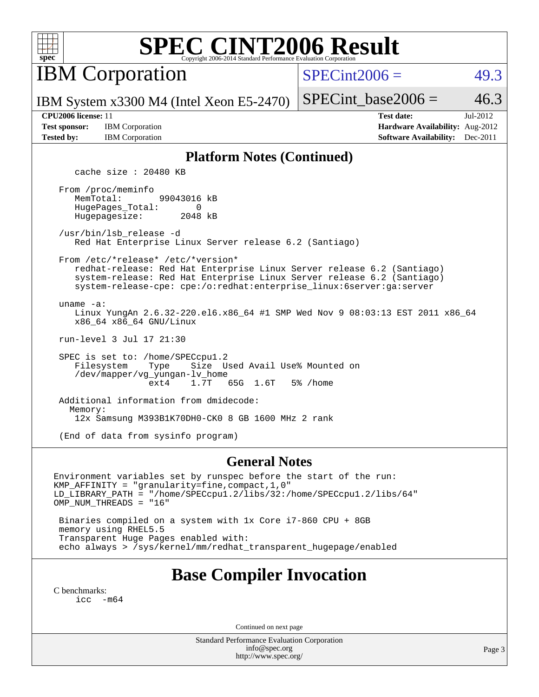

# **[SPEC CINT2006 Result](http://www.spec.org/auto/cpu2006/Docs/result-fields.html#SPECCINT2006Result)**

IBM Corporation

 $SPECint2006 = 49.3$  $SPECint2006 = 49.3$ 

IBM System x3300 M4 (Intel Xeon E5-2470)

SPECint base2006 =  $46.3$ 

**[Test sponsor:](http://www.spec.org/auto/cpu2006/Docs/result-fields.html#Testsponsor)** IBM Corporation **[Hardware Availability:](http://www.spec.org/auto/cpu2006/Docs/result-fields.html#HardwareAvailability)** Aug-2012

**[CPU2006 license:](http://www.spec.org/auto/cpu2006/Docs/result-fields.html#CPU2006license)** 11 **[Test date:](http://www.spec.org/auto/cpu2006/Docs/result-fields.html#Testdate)** Jul-2012 **[Tested by:](http://www.spec.org/auto/cpu2006/Docs/result-fields.html#Testedby)** IBM Corporation **[Software Availability:](http://www.spec.org/auto/cpu2006/Docs/result-fields.html#SoftwareAvailability)** Dec-2011

### **[Platform Notes \(Continued\)](http://www.spec.org/auto/cpu2006/Docs/result-fields.html#PlatformNotes)**

cache size : 20480 KB

 From /proc/meminfo MemTotal: 99043016 kB HugePages\_Total: 0<br>Hugepagesize: 2048 kB Hugepagesize:

 /usr/bin/lsb\_release -d Red Hat Enterprise Linux Server release 6.2 (Santiago)

From /etc/\*release\* /etc/\*version\*

 redhat-release: Red Hat Enterprise Linux Server release 6.2 (Santiago) system-release: Red Hat Enterprise Linux Server release 6.2 (Santiago) system-release-cpe: cpe:/o:redhat:enterprise\_linux:6server:ga:server

uname -a:

 Linux YungAn 2.6.32-220.el6.x86\_64 #1 SMP Wed Nov 9 08:03:13 EST 2011 x86\_64 x86\_64 x86\_64 GNU/Linux

run-level 3 Jul 17 21:30

SPEC is set to: /home/SPECcpul.2<br>Filesystem Type Size U Filesystem Type Size Used Avail Use% Mounted on /dev/mapper/vg\_yungan-lv\_home ext4 1.7T 65G 1.6T 5% /home

 Additional information from dmidecode: Memory: 12x Samsung M393B1K70DH0-CK0 8 GB 1600 MHz 2 rank

(End of data from sysinfo program)

### **[General Notes](http://www.spec.org/auto/cpu2006/Docs/result-fields.html#GeneralNotes)**

Environment variables set by runspec before the start of the run: KMP\_AFFINITY = "granularity=fine,compact,1,0" LD\_LIBRARY\_PATH = "/home/SPECcpu1.2/libs/32:/home/SPECcpu1.2/libs/64" OMP\_NUM\_THREADS = "16"

 Binaries compiled on a system with 1x Core i7-860 CPU + 8GB memory using RHEL5.5 Transparent Huge Pages enabled with: echo always > /sys/kernel/mm/redhat\_transparent\_hugepage/enabled

## **[Base Compiler Invocation](http://www.spec.org/auto/cpu2006/Docs/result-fields.html#BaseCompilerInvocation)**

[C benchmarks](http://www.spec.org/auto/cpu2006/Docs/result-fields.html#Cbenchmarks): [icc -m64](http://www.spec.org/cpu2006/results/res2012q3/cpu2006-20120730-23879.flags.html#user_CCbase_intel_icc_64bit_f346026e86af2a669e726fe758c88044)

Continued on next page

Standard Performance Evaluation Corporation [info@spec.org](mailto:info@spec.org) <http://www.spec.org/>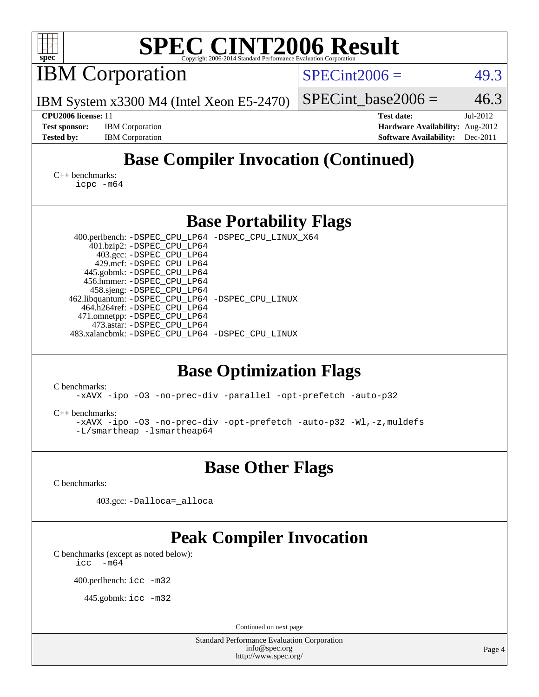| <b>SPEC CINT2006 Result</b><br>spec <sup>®</sup><br>Copyright 2006-2014 Standard Performance Evaluation Corporation                                                                                                                                                                                                                                                                                                                                                         |                                                                                                               |  |  |  |  |
|-----------------------------------------------------------------------------------------------------------------------------------------------------------------------------------------------------------------------------------------------------------------------------------------------------------------------------------------------------------------------------------------------------------------------------------------------------------------------------|---------------------------------------------------------------------------------------------------------------|--|--|--|--|
| <b>IBM</b> Corporation                                                                                                                                                                                                                                                                                                                                                                                                                                                      | $SPECint2006 =$<br>49.3                                                                                       |  |  |  |  |
| IBM System x3300 M4 (Intel Xeon E5-2470)                                                                                                                                                                                                                                                                                                                                                                                                                                    | 46.3<br>$SPECint\_base2006 =$                                                                                 |  |  |  |  |
| CPU2006 license: 11<br><b>Test sponsor:</b><br><b>IBM</b> Corporation<br><b>Tested by:</b><br><b>IBM</b> Corporation                                                                                                                                                                                                                                                                                                                                                        | <b>Test date:</b><br>Jul-2012<br>Hardware Availability: Aug-2012<br><b>Software Availability:</b><br>Dec-2011 |  |  |  |  |
| <b>Base Compiler Invocation (Continued)</b>                                                                                                                                                                                                                                                                                                                                                                                                                                 |                                                                                                               |  |  |  |  |
| $C_{++}$ benchmarks:<br>icpc -m64                                                                                                                                                                                                                                                                                                                                                                                                                                           |                                                                                                               |  |  |  |  |
| <b>Base Portability Flags</b>                                                                                                                                                                                                                                                                                                                                                                                                                                               |                                                                                                               |  |  |  |  |
| 400.perlbench: -DSPEC_CPU_LP64 -DSPEC_CPU_LINUX_X64<br>401.bzip2: -DSPEC_CPU_LP64<br>403.gcc: -DSPEC_CPU_LP64<br>429.mcf: -DSPEC_CPU_LP64<br>445.gobmk: -DSPEC_CPU_LP64<br>456.hmmer: - DSPEC_CPU_LP64<br>458.sjeng: -DSPEC_CPU_LP64<br>462.libquantum: -DSPEC_CPU_LP64 -DSPEC_CPU_LINUX<br>464.h264ref: -DSPEC_CPU_LP64<br>471.omnetpp: -DSPEC_CPU_LP64<br>473.astar: -DSPEC_CPU_LP64<br>483.xalancbmk: -DSPEC_CPU_LP64 -DSPEC_CPU_LINUX<br><b>Base Optimization Flags</b> |                                                                                                               |  |  |  |  |
| C benchmarks:<br>-xAVX -ipo -03 -no-prec-div -parallel -opt-prefetch -auto-p32                                                                                                                                                                                                                                                                                                                                                                                              |                                                                                                               |  |  |  |  |
| $C_{++}$ benchmarks:<br>-xAVX -ipo -03 -no-prec-div -opt-prefetch -auto-p32 -Wl,-z, muldefs<br>-L/smartheap -lsmartheap64                                                                                                                                                                                                                                                                                                                                                   |                                                                                                               |  |  |  |  |
| <b>Base Other Flags</b>                                                                                                                                                                                                                                                                                                                                                                                                                                                     |                                                                                                               |  |  |  |  |
| C benchmarks:<br>403.gcc: -Dalloca=_alloca                                                                                                                                                                                                                                                                                                                                                                                                                                  |                                                                                                               |  |  |  |  |
| <b>Peak Compiler Invocation</b><br>C benchmarks (except as noted below):                                                                                                                                                                                                                                                                                                                                                                                                    |                                                                                                               |  |  |  |  |
| $-m64$<br>icc                                                                                                                                                                                                                                                                                                                                                                                                                                                               |                                                                                                               |  |  |  |  |
| 400.perlbench: icc -m32<br>445.gobmk: icc -m32                                                                                                                                                                                                                                                                                                                                                                                                                              |                                                                                                               |  |  |  |  |
|                                                                                                                                                                                                                                                                                                                                                                                                                                                                             |                                                                                                               |  |  |  |  |
| Continued on next page<br><b>Standard Performance Evaluation Corporation</b>                                                                                                                                                                                                                                                                                                                                                                                                |                                                                                                               |  |  |  |  |
| info@spec.org<br>http://www.spec.org/                                                                                                                                                                                                                                                                                                                                                                                                                                       | Page 4                                                                                                        |  |  |  |  |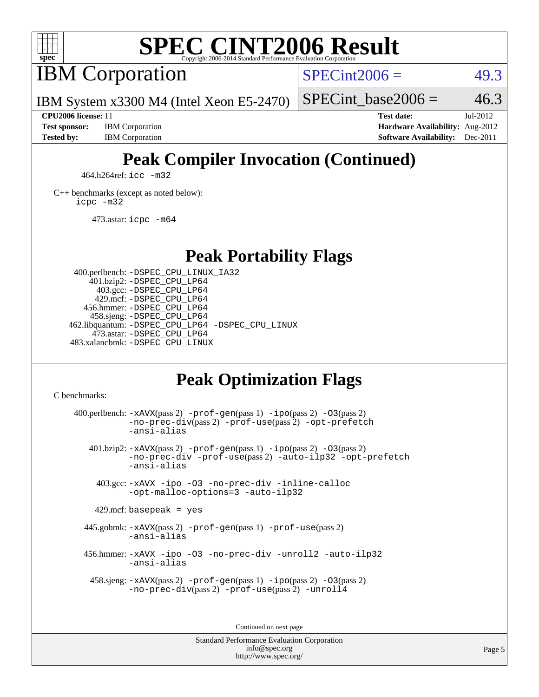

# **[SPEC CINT2006 Result](http://www.spec.org/auto/cpu2006/Docs/result-fields.html#SPECCINT2006Result)**

IBM Corporation

 $SPECint2006 = 49.3$  $SPECint2006 = 49.3$ 

IBM System x3300 M4 (Intel Xeon E5-2470)

**[Tested by:](http://www.spec.org/auto/cpu2006/Docs/result-fields.html#Testedby)** IBM Corporation **[Software Availability:](http://www.spec.org/auto/cpu2006/Docs/result-fields.html#SoftwareAvailability)** Dec-2011

SPECint base2006 =  $46.3$ **[CPU2006 license:](http://www.spec.org/auto/cpu2006/Docs/result-fields.html#CPU2006license)** 11 **[Test date:](http://www.spec.org/auto/cpu2006/Docs/result-fields.html#Testdate)** Jul-2012 **[Test sponsor:](http://www.spec.org/auto/cpu2006/Docs/result-fields.html#Testsponsor)** IBM Corporation **[Hardware Availability:](http://www.spec.org/auto/cpu2006/Docs/result-fields.html#HardwareAvailability)** Aug-2012

# **[Peak Compiler Invocation \(Continued\)](http://www.spec.org/auto/cpu2006/Docs/result-fields.html#PeakCompilerInvocation)**

464.h264ref: [icc -m32](http://www.spec.org/cpu2006/results/res2012q3/cpu2006-20120730-23879.flags.html#user_peakCCLD464_h264ref_intel_icc_a6a621f8d50482236b970c6ac5f55f93)

[C++ benchmarks \(except as noted below\):](http://www.spec.org/auto/cpu2006/Docs/result-fields.html#CXXbenchmarksexceptasnotedbelow) [icpc -m32](http://www.spec.org/cpu2006/results/res2012q3/cpu2006-20120730-23879.flags.html#user_CXXpeak_intel_icpc_4e5a5ef1a53fd332b3c49e69c3330699)

473.astar: [icpc -m64](http://www.spec.org/cpu2006/results/res2012q3/cpu2006-20120730-23879.flags.html#user_peakCXXLD473_astar_intel_icpc_64bit_fc66a5337ce925472a5c54ad6a0de310)

**[Peak Portability Flags](http://www.spec.org/auto/cpu2006/Docs/result-fields.html#PeakPortabilityFlags)**

 400.perlbench: [-DSPEC\\_CPU\\_LINUX\\_IA32](http://www.spec.org/cpu2006/results/res2012q3/cpu2006-20120730-23879.flags.html#b400.perlbench_peakCPORTABILITY_DSPEC_CPU_LINUX_IA32) 401.bzip2: [-DSPEC\\_CPU\\_LP64](http://www.spec.org/cpu2006/results/res2012q3/cpu2006-20120730-23879.flags.html#suite_peakPORTABILITY401_bzip2_DSPEC_CPU_LP64) 403.gcc: [-DSPEC\\_CPU\\_LP64](http://www.spec.org/cpu2006/results/res2012q3/cpu2006-20120730-23879.flags.html#suite_peakPORTABILITY403_gcc_DSPEC_CPU_LP64) 429.mcf: [-DSPEC\\_CPU\\_LP64](http://www.spec.org/cpu2006/results/res2012q3/cpu2006-20120730-23879.flags.html#suite_peakPORTABILITY429_mcf_DSPEC_CPU_LP64) 456.hmmer: [-DSPEC\\_CPU\\_LP64](http://www.spec.org/cpu2006/results/res2012q3/cpu2006-20120730-23879.flags.html#suite_peakPORTABILITY456_hmmer_DSPEC_CPU_LP64) 458.sjeng: [-DSPEC\\_CPU\\_LP64](http://www.spec.org/cpu2006/results/res2012q3/cpu2006-20120730-23879.flags.html#suite_peakPORTABILITY458_sjeng_DSPEC_CPU_LP64) 462.libquantum: [-DSPEC\\_CPU\\_LP64](http://www.spec.org/cpu2006/results/res2012q3/cpu2006-20120730-23879.flags.html#suite_peakPORTABILITY462_libquantum_DSPEC_CPU_LP64) [-DSPEC\\_CPU\\_LINUX](http://www.spec.org/cpu2006/results/res2012q3/cpu2006-20120730-23879.flags.html#b462.libquantum_peakCPORTABILITY_DSPEC_CPU_LINUX) 473.astar: [-DSPEC\\_CPU\\_LP64](http://www.spec.org/cpu2006/results/res2012q3/cpu2006-20120730-23879.flags.html#suite_peakPORTABILITY473_astar_DSPEC_CPU_LP64) 483.xalancbmk: [-DSPEC\\_CPU\\_LINUX](http://www.spec.org/cpu2006/results/res2012q3/cpu2006-20120730-23879.flags.html#b483.xalancbmk_peakCXXPORTABILITY_DSPEC_CPU_LINUX)

## **[Peak Optimization Flags](http://www.spec.org/auto/cpu2006/Docs/result-fields.html#PeakOptimizationFlags)**

[C benchmarks](http://www.spec.org/auto/cpu2006/Docs/result-fields.html#Cbenchmarks):

400.perlbench:  $-xAUX(pass 2)$  -prof-qen(pass 1) [-ipo](http://www.spec.org/cpu2006/results/res2012q3/cpu2006-20120730-23879.flags.html#user_peakPASS2_CFLAGSPASS2_LDCFLAGS400_perlbench_f-ipo)(pass 2) -03(pass 2) [-no-prec-div](http://www.spec.org/cpu2006/results/res2012q3/cpu2006-20120730-23879.flags.html#user_peakPASS2_CFLAGSPASS2_LDCFLAGS400_perlbench_f-no-prec-div)(pass 2) [-prof-use](http://www.spec.org/cpu2006/results/res2012q3/cpu2006-20120730-23879.flags.html#user_peakPASS2_CFLAGSPASS2_LDCFLAGS400_perlbench_prof_use_bccf7792157ff70d64e32fe3e1250b55)(pass 2) [-opt-prefetch](http://www.spec.org/cpu2006/results/res2012q3/cpu2006-20120730-23879.flags.html#user_peakCOPTIMIZE400_perlbench_f-opt-prefetch) [-ansi-alias](http://www.spec.org/cpu2006/results/res2012q3/cpu2006-20120730-23879.flags.html#user_peakCOPTIMIZE400_perlbench_f-ansi-alias) 401.bzip2: [-xAVX](http://www.spec.org/cpu2006/results/res2012q3/cpu2006-20120730-23879.flags.html#user_peakPASS2_CFLAGSPASS2_LDCFLAGS401_bzip2_f-xAVX)(pass 2) [-prof-gen](http://www.spec.org/cpu2006/results/res2012q3/cpu2006-20120730-23879.flags.html#user_peakPASS1_CFLAGSPASS1_LDCFLAGS401_bzip2_prof_gen_e43856698f6ca7b7e442dfd80e94a8fc)(pass 1) [-ipo](http://www.spec.org/cpu2006/results/res2012q3/cpu2006-20120730-23879.flags.html#user_peakPASS2_CFLAGSPASS2_LDCFLAGS401_bzip2_f-ipo)(pass 2) [-O3](http://www.spec.org/cpu2006/results/res2012q3/cpu2006-20120730-23879.flags.html#user_peakPASS2_CFLAGSPASS2_LDCFLAGS401_bzip2_f-O3)(pass 2) [-no-prec-div](http://www.spec.org/cpu2006/results/res2012q3/cpu2006-20120730-23879.flags.html#user_peakCOPTIMIZEPASS2_CFLAGSPASS2_LDCFLAGS401_bzip2_f-no-prec-div) [-prof-use](http://www.spec.org/cpu2006/results/res2012q3/cpu2006-20120730-23879.flags.html#user_peakPASS2_CFLAGSPASS2_LDCFLAGS401_bzip2_prof_use_bccf7792157ff70d64e32fe3e1250b55)(pass 2) [-auto-ilp32](http://www.spec.org/cpu2006/results/res2012q3/cpu2006-20120730-23879.flags.html#user_peakCOPTIMIZE401_bzip2_f-auto-ilp32) [-opt-prefetch](http://www.spec.org/cpu2006/results/res2012q3/cpu2006-20120730-23879.flags.html#user_peakCOPTIMIZE401_bzip2_f-opt-prefetch) [-ansi-alias](http://www.spec.org/cpu2006/results/res2012q3/cpu2006-20120730-23879.flags.html#user_peakCOPTIMIZE401_bzip2_f-ansi-alias) 403.gcc: [-xAVX](http://www.spec.org/cpu2006/results/res2012q3/cpu2006-20120730-23879.flags.html#user_peakCOPTIMIZE403_gcc_f-xAVX) [-ipo](http://www.spec.org/cpu2006/results/res2012q3/cpu2006-20120730-23879.flags.html#user_peakCOPTIMIZE403_gcc_f-ipo) [-O3](http://www.spec.org/cpu2006/results/res2012q3/cpu2006-20120730-23879.flags.html#user_peakCOPTIMIZE403_gcc_f-O3) [-no-prec-div](http://www.spec.org/cpu2006/results/res2012q3/cpu2006-20120730-23879.flags.html#user_peakCOPTIMIZE403_gcc_f-no-prec-div) [-inline-calloc](http://www.spec.org/cpu2006/results/res2012q3/cpu2006-20120730-23879.flags.html#user_peakCOPTIMIZE403_gcc_f-inline-calloc) [-opt-malloc-options=3](http://www.spec.org/cpu2006/results/res2012q3/cpu2006-20120730-23879.flags.html#user_peakCOPTIMIZE403_gcc_f-opt-malloc-options_13ab9b803cf986b4ee62f0a5998c2238) [-auto-ilp32](http://www.spec.org/cpu2006/results/res2012q3/cpu2006-20120730-23879.flags.html#user_peakCOPTIMIZE403_gcc_f-auto-ilp32)  $429$ .mcf: basepeak = yes 445.gobmk: [-xAVX](http://www.spec.org/cpu2006/results/res2012q3/cpu2006-20120730-23879.flags.html#user_peakPASS2_CFLAGSPASS2_LDCFLAGS445_gobmk_f-xAVX)(pass 2) [-prof-gen](http://www.spec.org/cpu2006/results/res2012q3/cpu2006-20120730-23879.flags.html#user_peakPASS1_CFLAGSPASS1_LDCFLAGS445_gobmk_prof_gen_e43856698f6ca7b7e442dfd80e94a8fc)(pass 1) [-prof-use](http://www.spec.org/cpu2006/results/res2012q3/cpu2006-20120730-23879.flags.html#user_peakPASS2_CFLAGSPASS2_LDCFLAGS445_gobmk_prof_use_bccf7792157ff70d64e32fe3e1250b55)(pass 2) [-ansi-alias](http://www.spec.org/cpu2006/results/res2012q3/cpu2006-20120730-23879.flags.html#user_peakCOPTIMIZE445_gobmk_f-ansi-alias) 456.hmmer: [-xAVX](http://www.spec.org/cpu2006/results/res2012q3/cpu2006-20120730-23879.flags.html#user_peakCOPTIMIZE456_hmmer_f-xAVX) [-ipo](http://www.spec.org/cpu2006/results/res2012q3/cpu2006-20120730-23879.flags.html#user_peakCOPTIMIZE456_hmmer_f-ipo) [-O3](http://www.spec.org/cpu2006/results/res2012q3/cpu2006-20120730-23879.flags.html#user_peakCOPTIMIZE456_hmmer_f-O3) [-no-prec-div](http://www.spec.org/cpu2006/results/res2012q3/cpu2006-20120730-23879.flags.html#user_peakCOPTIMIZE456_hmmer_f-no-prec-div) [-unroll2](http://www.spec.org/cpu2006/results/res2012q3/cpu2006-20120730-23879.flags.html#user_peakCOPTIMIZE456_hmmer_f-unroll_784dae83bebfb236979b41d2422d7ec2) [-auto-ilp32](http://www.spec.org/cpu2006/results/res2012q3/cpu2006-20120730-23879.flags.html#user_peakCOPTIMIZE456_hmmer_f-auto-ilp32) [-ansi-alias](http://www.spec.org/cpu2006/results/res2012q3/cpu2006-20120730-23879.flags.html#user_peakCOPTIMIZE456_hmmer_f-ansi-alias) 458.sjeng: [-xAVX](http://www.spec.org/cpu2006/results/res2012q3/cpu2006-20120730-23879.flags.html#user_peakPASS2_CFLAGSPASS2_LDCFLAGS458_sjeng_f-xAVX)(pass 2) [-prof-gen](http://www.spec.org/cpu2006/results/res2012q3/cpu2006-20120730-23879.flags.html#user_peakPASS1_CFLAGSPASS1_LDCFLAGS458_sjeng_prof_gen_e43856698f6ca7b7e442dfd80e94a8fc)(pass 1) [-ipo](http://www.spec.org/cpu2006/results/res2012q3/cpu2006-20120730-23879.flags.html#user_peakPASS2_CFLAGSPASS2_LDCFLAGS458_sjeng_f-ipo)(pass 2) [-O3](http://www.spec.org/cpu2006/results/res2012q3/cpu2006-20120730-23879.flags.html#user_peakPASS2_CFLAGSPASS2_LDCFLAGS458_sjeng_f-O3)(pass 2) [-no-prec-div](http://www.spec.org/cpu2006/results/res2012q3/cpu2006-20120730-23879.flags.html#user_peakPASS2_CFLAGSPASS2_LDCFLAGS458_sjeng_f-no-prec-div)(pass 2) [-prof-use](http://www.spec.org/cpu2006/results/res2012q3/cpu2006-20120730-23879.flags.html#user_peakPASS2_CFLAGSPASS2_LDCFLAGS458_sjeng_prof_use_bccf7792157ff70d64e32fe3e1250b55)(pass 2) [-unroll4](http://www.spec.org/cpu2006/results/res2012q3/cpu2006-20120730-23879.flags.html#user_peakCOPTIMIZE458_sjeng_f-unroll_4e5e4ed65b7fd20bdcd365bec371b81f)

Continued on next page

Standard Performance Evaluation Corporation [info@spec.org](mailto:info@spec.org) <http://www.spec.org/>